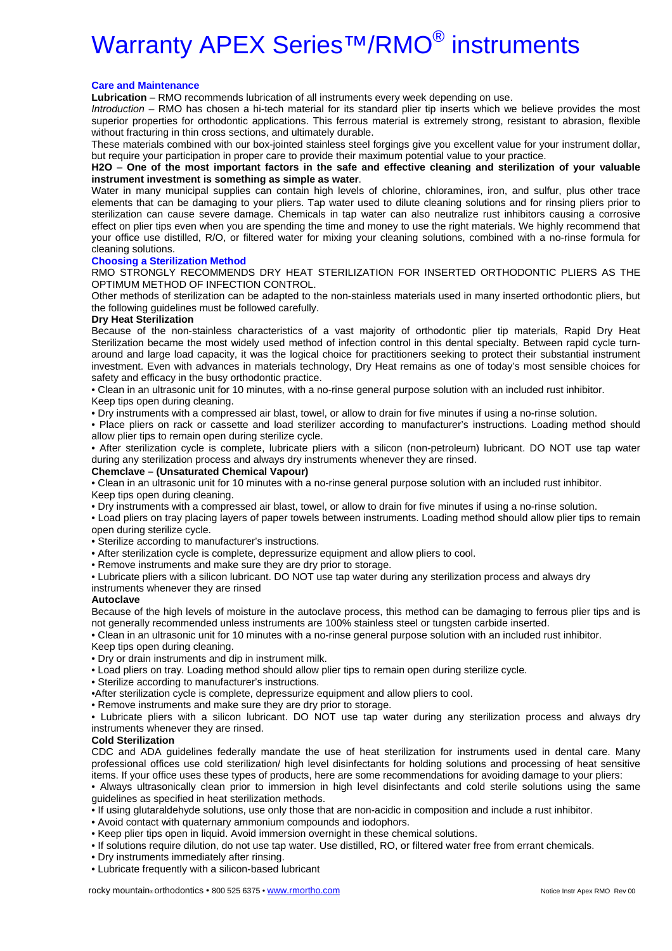# Warranty APEX Series<sup>™/</sup>RMO<sup>®</sup> instruments

## **Care and Maintenance**

**Lubrication** – RMO recommends lubrication of all instruments every week depending on use.

*Introduction* – RMO has chosen a hi-tech material for its standard plier tip inserts which we believe provides the most superior properties for orthodontic applications. This ferrous material is extremely strong, resistant to abrasion, flexible without fracturing in thin cross sections, and ultimately durable.

These materials combined with our box-jointed stainless steel forgings give you excellent value for your instrument dollar, but require your participation in proper care to provide their maximum potential value to your practice.

**H2O** – **One of the most important factors in the safe and effective cleaning and sterilization of your valuable instrument investment is something as simple as water**.

Water in many municipal supplies can contain high levels of chlorine, chloramines, iron, and sulfur, plus other trace elements that can be damaging to your pliers. Tap water used to dilute cleaning solutions and for rinsing pliers prior to sterilization can cause severe damage. Chemicals in tap water can also neutralize rust inhibitors causing a corrosive effect on plier tips even when you are spending the time and money to use the right materials. We highly recommend that your office use distilled, R/O, or filtered water for mixing your cleaning solutions, combined with a no-rinse formula for cleaning solutions.

## **Choosing a Sterilization Method**

RMO STRONGLY RECOMMENDS DRY HEAT STERILIZATION FOR INSERTED ORTHODONTIC PLIERS AS THE OPTIMUM METHOD OF INFECTION CONTROL.

Other methods of sterilization can be adapted to the non-stainless materials used in many inserted orthodontic pliers, but the following guidelines must be followed carefully.

## **Dry Heat Sterilization**

Because of the non-stainless characteristics of a vast majority of orthodontic plier tip materials, Rapid Dry Heat Sterilization became the most widely used method of infection control in this dental specialty. Between rapid cycle turnaround and large load capacity, it was the logical choice for practitioners seeking to protect their substantial instrument investment. Even with advances in materials technology, Dry Heat remains as one of today's most sensible choices for safety and efficacy in the busy orthodontic practice.

• Clean in an ultrasonic unit for 10 minutes, with a no-rinse general purpose solution with an included rust inhibitor.

Keep tips open during cleaning.

• Dry instruments with a compressed air blast, towel, or allow to drain for five minutes if using a no-rinse solution.

• Place pliers on rack or cassette and load sterilizer according to manufacturer's instructions. Loading method should allow plier tips to remain open during sterilize cycle.

• After sterilization cycle is complete, lubricate pliers with a silicon (non-petroleum) lubricant. DO NOT use tap water during any sterilization process and always dry instruments whenever they are rinsed.

#### **Chemclave – (Unsaturated Chemical Vapour)**

• Clean in an ultrasonic unit for 10 minutes with a no-rinse general purpose solution with an included rust inhibitor. Keep tips open during cleaning.

• Dry instruments with a compressed air blast, towel, or allow to drain for five minutes if using a no-rinse solution.

• Load pliers on tray placing layers of paper towels between instruments. Loading method should allow plier tips to remain open during sterilize cycle.

• Sterilize according to manufacturer's instructions.

• After sterilization cycle is complete, depressurize equipment and allow pliers to cool.

• Remove instruments and make sure they are dry prior to storage.

• Lubricate pliers with a silicon lubricant. DO NOT use tap water during any sterilization process and always dry

## instruments whenever they are rinsed

# **Autoclave**

Because of the high levels of moisture in the autoclave process, this method can be damaging to ferrous plier tips and is not generally recommended unless instruments are 100% stainless steel or tungsten carbide inserted.

• Clean in an ultrasonic unit for 10 minutes with a no-rinse general purpose solution with an included rust inhibitor.

Keep tips open during cleaning.

• Dry or drain instruments and dip in instrument milk.

- Load pliers on tray. Loading method should allow plier tips to remain open during sterilize cycle.
- Sterilize according to manufacturer's instructions.

•After sterilization cycle is complete, depressurize equipment and allow pliers to cool.

• Remove instruments and make sure they are dry prior to storage.

• Lubricate pliers with a silicon lubricant. DO NOT use tap water during any sterilization process and always dry instruments whenever they are rinsed.

# **Cold Sterilization**

CDC and ADA guidelines federally mandate the use of heat sterilization for instruments used in dental care. Many professional offices use cold sterilization/ high level disinfectants for holding solutions and processing of heat sensitive items. If your office uses these types of products, here are some recommendations for avoiding damage to your pliers:

• Always ultrasonically clean prior to immersion in high level disinfectants and cold sterile solutions using the same guidelines as specified in heat sterilization methods.

• If using glutaraldehyde solutions, use only those that are non-acidic in composition and include a rust inhibitor.

• Avoid contact with quaternary ammonium compounds and iodophors.

• Keep plier tips open in liquid. Avoid immersion overnight in these chemical solutions.

• If solutions require dilution, do not use tap water. Use distilled, RO, or filtered water free from errant chemicals.

• Dry instruments immediately after rinsing.

• Lubricate frequently with a silicon-based lubricant